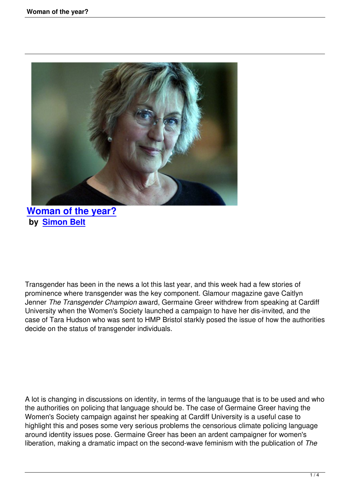

## **Woman of the year? by Simon Belt**

Transgender has been in the news a lot this last year, and this week had a few stories of prominence where transgender was the key component. Glamour magazine gave Caitlyn Jenner *The Transgender Champion* award, Germaine Greer withdrew from speaking at Cardiff University when the Women's Society launched a campaign to have her dis-invited, and the case of Tara Hudson who was sent to HMP Bristol starkly posed the issue of how the authorities decide on the status of transgender individuals.

A lot is changing in discussions on identity, in terms of the languauge that is to be used and who the authorities on policing that language should be. The case of Germaine Greer having the Women's Society campaign against her speaking at Cardiff University is a useful case to highlight this and poses some very serious problems the censorious climate policing language around identity issues pose. Germaine Greer has been an ardent campaigner for women's liberation, making a dramatic impact on the second-wave feminism with the publication of *The*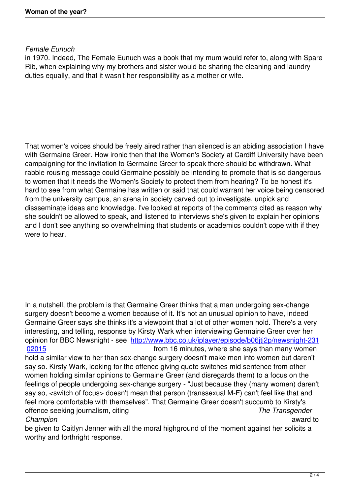## *Female Eunuch*

in 1970. Indeed, The Female Eunuch was a book that my mum would refer to, along with Spare Rib, when explaining why my brothers and sister would be sharing the cleaning and laundry duties equally, and that it wasn't her responsibility as a mother or wife.

That women's voices should be freely aired rather than silenced is an abiding association I have with Germaine Greer. How ironic then that the Women's Society at Cardiff University have been campaigning for the invitation to Germaine Greer to speak there should be withdrawn. What rabble rousing message could Germaine possibly be intending to promote that is so dangerous to women that it needs the Women's Society to protect them from hearing? To be honest it's hard to see from what Germaine has written or said that could warrant her voice being censored from the university campus, an arena in society carved out to investigate, unpick and dissseminate ideas and knowledge. I've looked at reports of the comments cited as reason why she souldn't be allowed to speak, and listened to interviews she's given to explain her opinions and I don't see anything so overwhelming that students or academics couldn't cope with if they were to hear.

In a nutshell, the problem is that Germaine Greer thinks that a man undergoing sex-change surgery doesn't become a women because of it. It's not an unusual opinion to have, indeed Germaine Greer says she thinks it's a viewpoint that a lot of other women hold. There's a very interesting, and telling, response by Kirsty Wark when interviewing Germaine Greer over her opinion for BBC Newsnight - see http://www.bbc.co.uk/iplayer/episode/b06jtj2p/newsnight-231 02015 from 16 minutes, where she says than many women hold a similar view to her than sex-change surgery doesn't make men into women but daren't say so. Kirsty Wark, looking for th[e offence giving quote switches mid sentence from other](http://www.bbc.co.uk/iplayer/episode/b06jtj2p/newsnight-23102015) [women](http://www.bbc.co.uk/iplayer/episode/b06jtj2p/newsnight-23102015) holding similar opinions to Germaine Greer (and disregards them) to a focus on the feelings of people undergoing sex-change surgery - "Just because they (many women) daren't say so, <switch of focus> doesn't mean that person (transsexual M-F) can't feel like that and feel more comfortable with themselves". That Germaine Greer doesn't succumb to Kirsty's offence seeking journalism, citing *The Transgender Champion* award to be given to Caitlyn Jenner with all the moral highground of the moment against her solicits a

worthy and forthright response.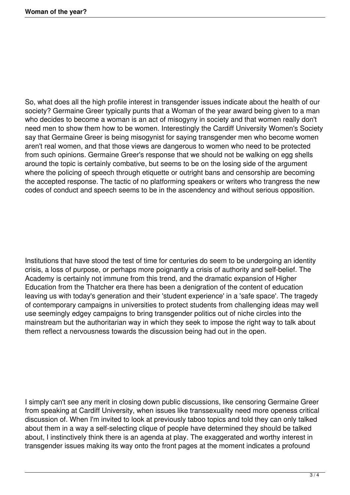So, what does all the high profile interest in transgender issues indicate about the health of our society? Germaine Greer typically punts that a Woman of the year award being given to a man who decides to become a woman is an act of misogyny in society and that women really don't need men to show them how to be women. Interestingly the Cardiff University Women's Society say that Germaine Greer is being misogynist for saying transgender men who become women aren't real women, and that those views are dangerous to women who need to be protected from such opinions. Germaine Greer's response that we should not be walking on egg shells around the topic is certainly combative, but seems to be on the losing side of the argument where the policing of speech through etiquette or outright bans and censorship are becoming the accepted response. The tactic of no platforming speakers or writers who trangress the new codes of conduct and speech seems to be in the ascendency and without serious opposition.

Institutions that have stood the test of time for centuries do seem to be undergoing an identity crisis, a loss of purpose, or perhaps more poignantly a crisis of authority and self-belief. The Academy is certainly not immune from this trend, and the dramatic expansion of Higher Education from the Thatcher era there has been a denigration of the content of education leaving us with today's generation and their 'student experience' in a 'safe space'. The tragedy of contemporary campaigns in universities to protect students from challenging ideas may well use seemingly edgey campaigns to bring transgender politics out of niche circles into the mainstream but the authoritarian way in which they seek to impose the right way to talk about them reflect a nervousness towards the discussion being had out in the open.

I simply can't see any merit in closing down public discussions, like censoring Germaine Greer from speaking at Cardiff University, when issues like transsexuality need more openess critical discussion of. When I'm invited to look at previously taboo topics and told they can only talked about them in a way a self-selecting clique of people have determined they should be talked about, I instinctively think there is an agenda at play. The exaggerated and worthy interest in transgender issues making its way onto the front pages at the moment indicates a profound